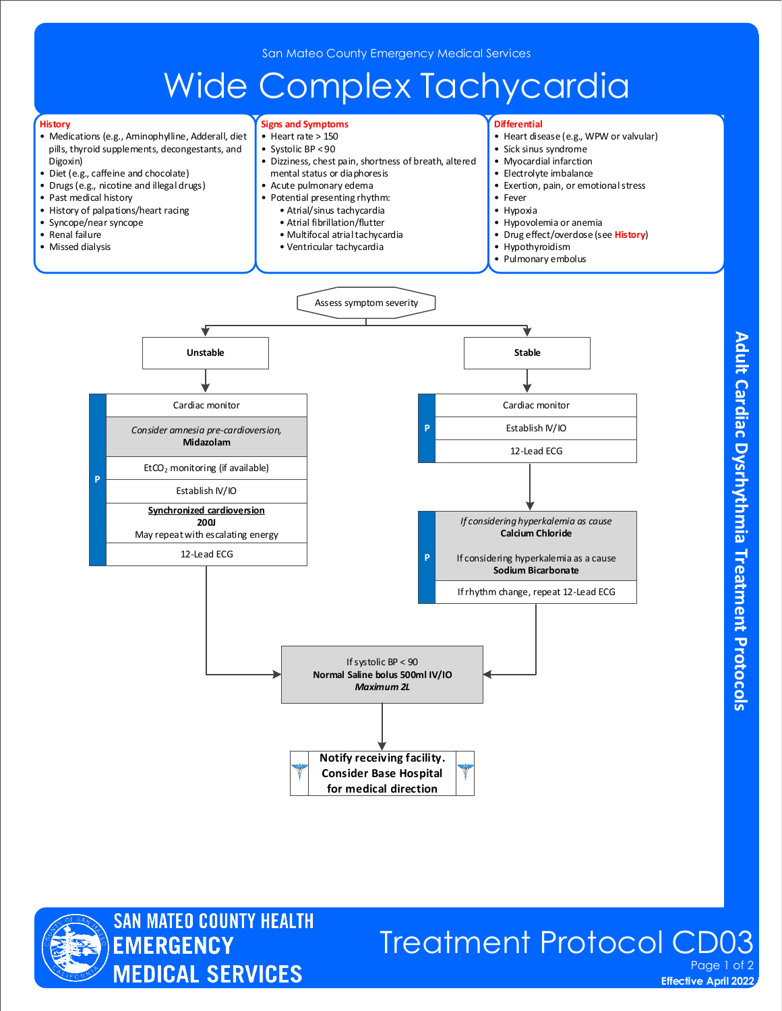# Wide Complex Tachycardia

**Signs and Symptoms**

**Differential**

#### **History**

- Medications (e.g., Aminophylline, Adderall, diet pills, thyroid supplements, decongestants, and Digoxin)
- Diet (e.g., caffeine and chocolate)
- Drugs (e.g., nicotine and illegal drugs)
- Past medical history
- History of palpations/heart racing
- Syncope/near syncope
- Renal failure
- Missed dialysis

**P**

• Heart disease (e.g., WPW or valvular) • Sick sinus syndrome • Myocardial infarction • Electrolyte imbalance • Exertion, pain, or emotional stress • Fever • Hypoxia • Hypovolemia or anemia • Drug effect/overdose (see **History**) • Hypothyroidism • Pulmonary embolus • Heart rate > 150 • Systolic BP < 90 • Dizziness, chest pain, shortness of breath, altered mental status or diaphoresis • Acute pulmonary edema • Potential presenting rhythm: • Atrial/sinus tachycardia • Atrial fibrillation/flutter • Multifocal atrial tachycardia • Ventricular tachycardia Cardiac monitor **P** Establish IV/IO 12-Lead ECG **P** Assess symptom severity Unstable and the stable stable stable and the stable stable stable stable stable If rhythm change, repeat 12-Lead ECG *Consider amnesia pre-cardioversion,* **Midazolam**  Cardiac monitor Establish IV/IO  $EtCO<sub>2</sub>$  monitoring (if available) **Synchronized cardioversion 200J**  May repeat with escalating energy If systolic BP < 90 **Normal Saline bolus 500ml IV/IO** *Maximum 2L* 12-Lead ECG *If considering hyperkalemia as cause* **Calcium Chloride** If considering hyperkalemia as a cause **Sodium Bicarbonate**

> **Notify receiving facility. Consider Base Hospital for medical direction**





### Treatment Protocol CD03 Page 1 of 2

**Effective April 2022**